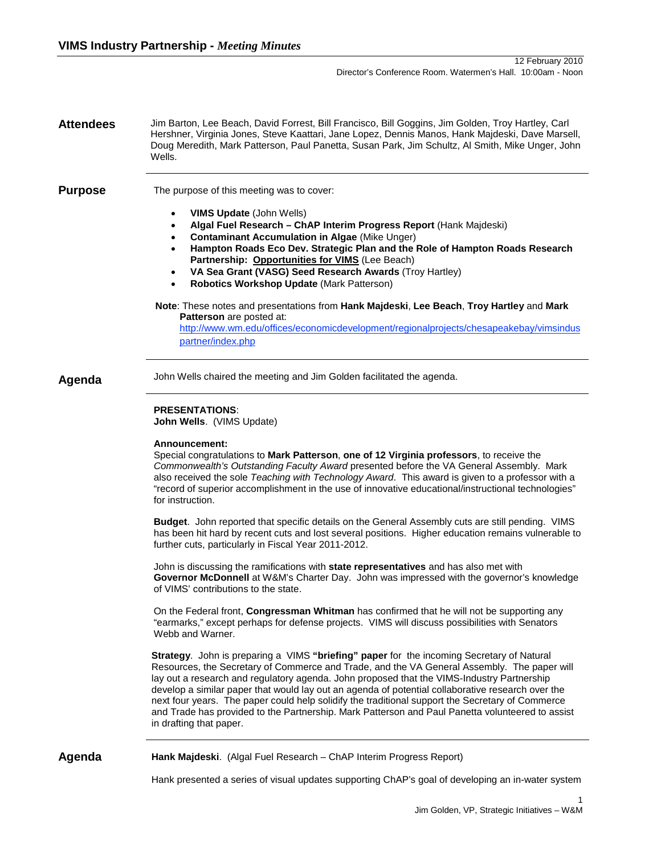**Attendees** Jim Barton, Lee Beach, David Forrest, Bill Francisco, Bill Goggins, Jim Golden, Troy Hartley, Carl Hershner, Virginia Jones, Steve Kaattari, Jane Lopez, Dennis Manos, Hank Majdeski, Dave Marsell, Doug Meredith, Mark Patterson, Paul Panetta, Susan Park, Jim Schultz, Al Smith, Mike Unger, John Wells.

**Purpose** The purpose of this meeting was to cover:

- **VIMS Update** (John Wells)
- **Algal Fuel Research – ChAP Interim Progress Report** (Hank Majdeski)
- **Contaminant Accumulation in Algae** (Mike Unger)
- **Hampton Roads Eco Dev. Strategic Plan and the Role of Hampton Roads Research Partnership: Opportunities for VIMS** (Lee Beach)
- **VA Sea Grant (VASG) Seed Research Awards** (Troy Hartley)
- **Robotics Workshop Update** (Mark Patterson)

#### **Note**: These notes and presentations from **Hank Majdeski**, **Lee Beach**, **Troy Hartley** and **Mark Patterson** are posted at: [http://www.wm.edu/offices/economicdevelopment/regionalprojects/chesapeakebay/vimsindus](http://www.wm.edu/offices/economicdevelopment/regionalprojects/chesapeakebay/vimsinduspartner/index.php)

Agenda John Wells chaired the meeting and Jim Golden facilitated the agenda.

### **PRESENTATIONS**:

**John Wells**. (VIMS Update)

[partner/index.php](http://www.wm.edu/offices/economicdevelopment/regionalprojects/chesapeakebay/vimsinduspartner/index.php)

#### **Announcement:**

Special congratulations to **Mark Patterson**, **one of 12 Virginia professors**, to receive the *Commonwealth's Outstanding Faculty Award* presented before the VA General Assembly. Mark also received the sole *Teaching with Technology Award*. This award is given to a professor with a "record of superior accomplishment in the use of innovative educational/instructional technologies" for instruction.

**Budget**. John reported that specific details on the General Assembly cuts are still pending. VIMS has been hit hard by recent cuts and lost several positions. Higher education remains vulnerable to further cuts, particularly in Fiscal Year 2011-2012.

John is discussing the ramifications with **state representatives** and has also met with **Governor McDonnell** at W&M's Charter Day. John was impressed with the governor's knowledge of VIMS' contributions to the state.

On the Federal front, **Congressman Whitman** has confirmed that he will not be supporting any "earmarks," except perhaps for defense projects. VIMS will discuss possibilities with Senators Webb and Warner.

**Strategy**. John is preparing a VIMS **"briefing" paper** for the incoming Secretary of Natural Resources, the Secretary of Commerce and Trade, and the VA General Assembly. The paper will lay out a research and regulatory agenda. John proposed that the VIMS-Industry Partnership develop a similar paper that would lay out an agenda of potential collaborative research over the next four years. The paper could help solidify the traditional support the Secretary of Commerce and Trade has provided to the Partnership. Mark Patterson and Paul Panetta volunteered to assist in drafting that paper.

**Agenda Hank Majdeski**. (Algal Fuel Research – ChAP Interim Progress Report)

Hank presented a series of visual updates supporting ChAP's goal of developing an in-water system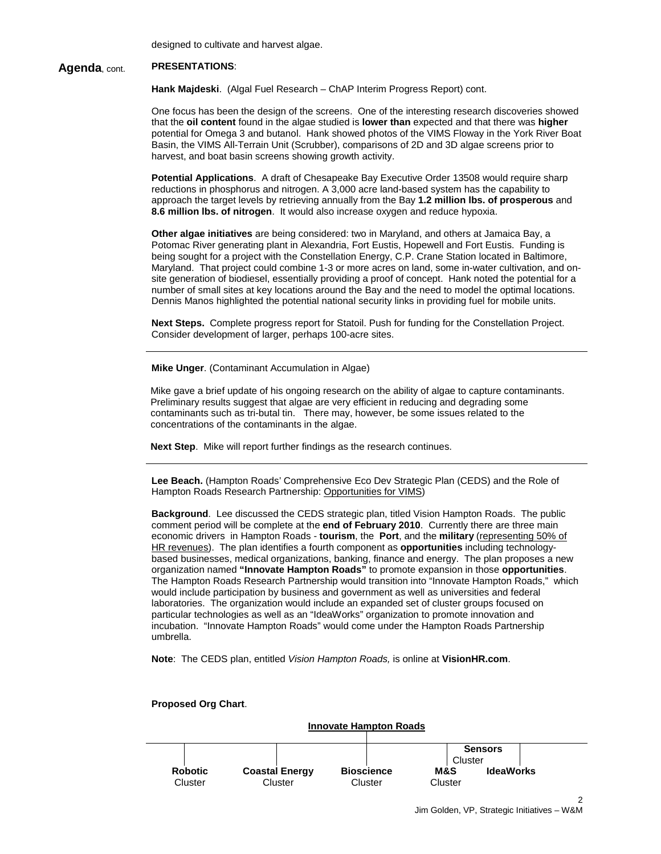designed to cultivate and harvest algae.

# **Agenda**, cont. **PRESENTATIONS**:

**Hank Majdeski**. (Algal Fuel Research – ChAP Interim Progress Report) cont.

One focus has been the design of the screens. One of the interesting research discoveries showed that the **oil content** found in the algae studied is **lower than** expected and that there was **higher** potential for Omega 3 and butanol. Hank showed photos of the VIMS Floway in the York River Boat Basin, the VIMS All-Terrain Unit (Scrubber), comparisons of 2D and 3D algae screens prior to harvest, and boat basin screens showing growth activity.

**Potential Applications**. A draft of Chesapeake Bay Executive Order 13508 would require sharp reductions in phosphorus and nitrogen. A 3,000 acre land-based system has the capability to approach the target levels by retrieving annually from the Bay **1.2 million lbs. of prosperous** and **8.6 million lbs. of nitrogen**. It would also increase oxygen and reduce hypoxia.

**Other algae initiatives** are being considered: two in Maryland, and others at Jamaica Bay, a Potomac River generating plant in Alexandria, Fort Eustis, Hopewell and Fort Eustis. Funding is being sought for a project with the Constellation Energy, C.P. Crane Station located in Baltimore, Maryland. That project could combine 1-3 or more acres on land, some in-water cultivation, and onsite generation of biodiesel, essentially providing a proof of concept. Hank noted the potential for a number of small sites at key locations around the Bay and the need to model the optimal locations. Dennis Manos highlighted the potential national security links in providing fuel for mobile units.

**Next Steps.** Complete progress report for Statoil. Push for funding for the Constellation Project. Consider development of larger, perhaps 100-acre sites.

**Mike Unger**. (Contaminant Accumulation in Algae)

Mike gave a brief update of his ongoing research on the ability of algae to capture contaminants. Preliminary results suggest that algae are very efficient in reducing and degrading some contaminants such as tri-butal tin. There may, however, be some issues related to the concentrations of the contaminants in the algae.

**Next Step**. Mike will report further findings as the research continues.

**Lee Beach.** (Hampton Roads' Comprehensive Eco Dev Strategic Plan (CEDS) and the Role of Hampton Roads Research Partnership: Opportunities for VIMS)

**Background**. Lee discussed the CEDS strategic plan, titled Vision Hampton Roads. The public comment period will be complete at the **end of February 2010**. Currently there are three main economic drivers in Hampton Roads - **tourism**, the **Port**, and the **military** (representing 50% of HR revenues). The plan identifies a fourth component as **opportunities** including technologybased businesses, medical organizations, banking, finance and energy. The plan proposes a new organization named **"Innovate Hampton Roads"** to promote expansion in those **opportunities**. The Hampton Roads Research Partnership would transition into "Innovate Hampton Roads," which would include participation by business and government as well as universities and federal laboratories. The organization would include an expanded set of cluster groups focused on particular technologies as well as an "IdeaWorks" organization to promote innovation and incubation. "Innovate Hampton Roads" would come under the Hampton Roads Partnership umbrella.

**Note**: The CEDS plan, entitled *Vision Hampton Roads,* is online at **VisionHR.com**.



**Proposed Org Chart**.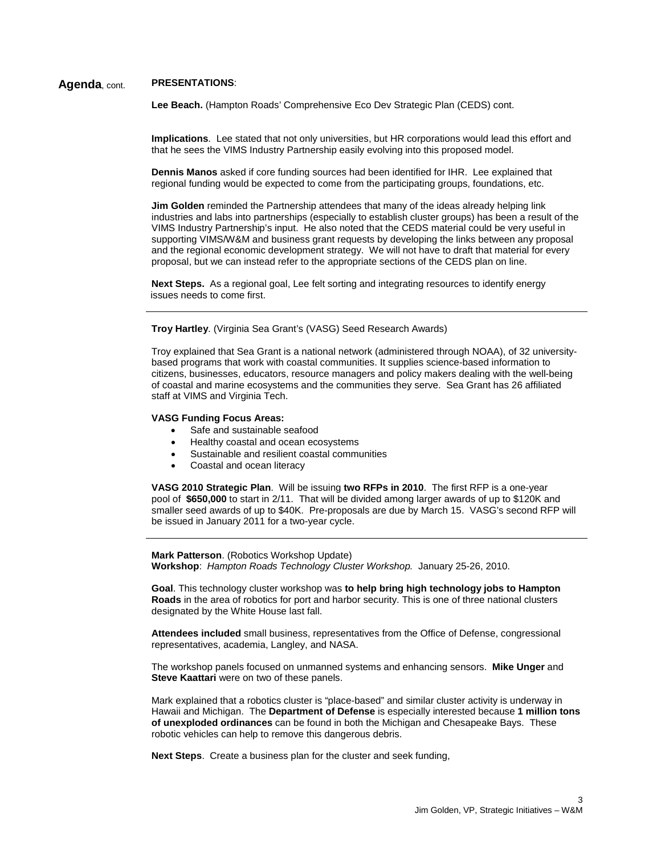# **Agenda**, cont. **PRESENTATIONS**:

**Lee Beach.** (Hampton Roads' Comprehensive Eco Dev Strategic Plan (CEDS) cont.

**Implications**. Lee stated that not only universities, but HR corporations would lead this effort and that he sees the VIMS Industry Partnership easily evolving into this proposed model.

**Dennis Manos** asked if core funding sources had been identified for IHR. Lee explained that regional funding would be expected to come from the participating groups, foundations, etc.

**Jim Golden** reminded the Partnership attendees that many of the ideas already helping link industries and labs into partnerships (especially to establish cluster groups) has been a result of the VIMS Industry Partnership's input. He also noted that the CEDS material could be very useful in supporting VIMS/W&M and business grant requests by developing the links between any proposal and the regional economic development strategy. We will not have to draft that material for every proposal, but we can instead refer to the appropriate sections of the CEDS plan on line.

**Next Steps.** As a regional goal, Lee felt sorting and integrating resources to identify energy issues needs to come first.

**Troy Hartley**. (Virginia Sea Grant's (VASG) Seed Research Awards)

Troy explained that Sea Grant is a national network (administered through NOAA), of 32 universitybased programs that work with coastal communities. It supplies science-based information to citizens, businesses, educators, resource managers and policy makers dealing with the well-being of coastal and marine ecosystems and the communities they serve. Sea Grant has 26 affiliated staff at VIMS and Virginia Tech.

#### **VASG Funding Focus Areas:**

- Safe and sustainable seafood
- Healthy coastal and ocean ecosystems
- Sustainable and resilient coastal communities
- Coastal and ocean literacy

**VASG 2010 Strategic Plan**. Will be issuing **two RFPs in 2010**. The first RFP is a one-year pool of **\$650,000** to start in 2/11. That will be divided among larger awards of up to \$120K and smaller seed awards of up to \$40K. Pre-proposals are due by March 15. VASG's second RFP will be issued in January 2011 for a two-year cycle.

**Mark Patterson**. (Robotics Workshop Update) **Workshop**: *Hampton Roads Technology Cluster Workshop.* January 25-26, 2010.

**Goal**. This technology cluster workshop was **to help bring high technology jobs to Hampton Roads** in the area of robotics for port and harbor security. This is one of three national clusters designated by the White House last fall.

**Attendees included** small business, representatives from the Office of Defense, congressional representatives, academia, Langley, and NASA.

The workshop panels focused on unmanned systems and enhancing sensors. **Mike Unger** and **Steve Kaattari** were on two of these panels.

Mark explained that a robotics cluster is "place-based" and similar cluster activity is underway in Hawaii and Michigan. The **Department of Defense** is especially interested because **1 million tons of unexploded ordinances** can be found in both the Michigan and Chesapeake Bays. These robotic vehicles can help to remove this dangerous debris.

**Next Steps**. Create a business plan for the cluster and seek funding,